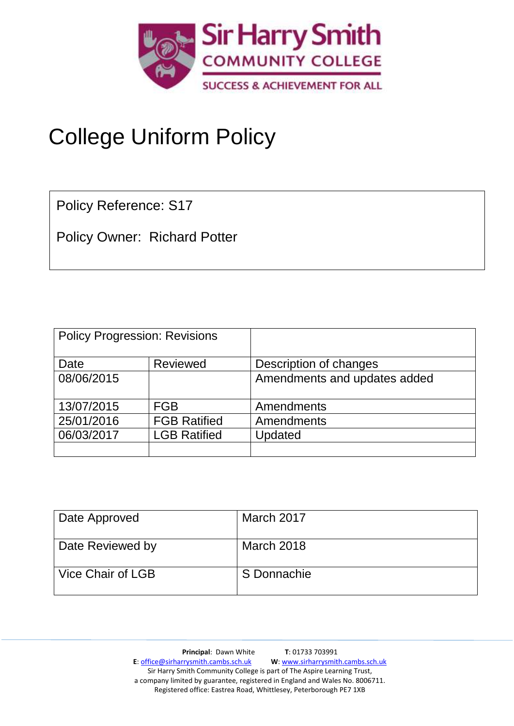

# College Uniform Policy

Policy Reference: S17

Policy Owner: Richard Potter

| <b>Policy Progression: Revisions</b> |                     |                              |  |
|--------------------------------------|---------------------|------------------------------|--|
| Date                                 | <b>Reviewed</b>     | Description of changes       |  |
| 08/06/2015                           |                     | Amendments and updates added |  |
| 13/07/2015                           | <b>FGB</b>          | Amendments                   |  |
| 25/01/2016                           | <b>FGB Ratified</b> | Amendments                   |  |
| 06/03/2017                           | <b>LGB Ratified</b> | Updated                      |  |
|                                      |                     |                              |  |

| Date Approved     | March 2017  |
|-------------------|-------------|
| Date Reviewed by  | March 2018  |
| Vice Chair of LGB | S Donnachie |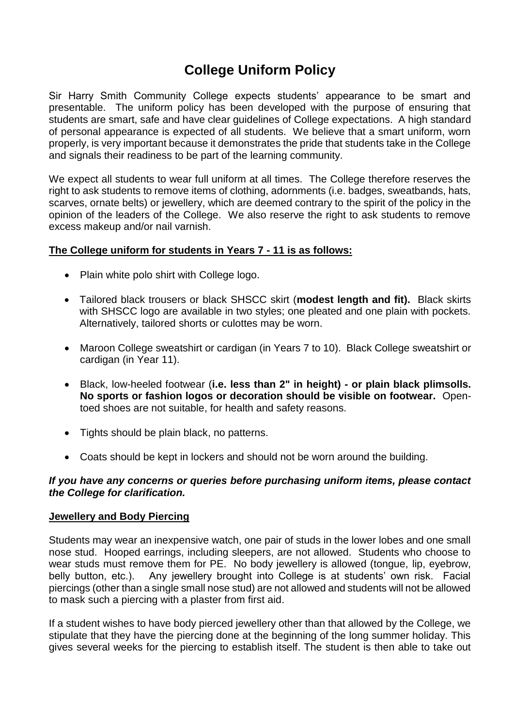# **College Uniform Policy**

Sir Harry Smith Community College expects students' appearance to be smart and presentable. The uniform policy has been developed with the purpose of ensuring that students are smart, safe and have clear guidelines of College expectations. A high standard of personal appearance is expected of all students. We believe that a smart uniform, worn properly, is very important because it demonstrates the pride that students take in the College and signals their readiness to be part of the learning community.

We expect all students to wear full uniform at all times. The College therefore reserves the right to ask students to remove items of clothing, adornments (i.e. badges, sweatbands, hats, scarves, ornate belts) or jewellery, which are deemed contrary to the spirit of the policy in the opinion of the leaders of the College. We also reserve the right to ask students to remove excess makeup and/or nail varnish.

## **The College uniform for students in Years 7 - 11 is as follows:**

- Plain white polo shirt with College logo.
- Tailored black trousers or black SHSCC skirt (**modest length and fit).** Black skirts with SHSCC logo are available in two styles; one pleated and one plain with pockets. Alternatively, tailored shorts or culottes may be worn.
- Maroon College sweatshirt or cardigan (in Years 7 to 10). Black College sweatshirt or cardigan (in Year 11).
- Black, low-heeled footwear (**i.e. less than 2" in height) - or plain black plimsolls. No sports or fashion logos or decoration should be visible on footwear.** Opentoed shoes are not suitable, for health and safety reasons.
- Tights should be plain black, no patterns.
- Coats should be kept in lockers and should not be worn around the building.

# *If you have any concerns or queries before purchasing uniform items, please contact the College for clarification.*

## **Jewellery and Body Piercing**

Students may wear an inexpensive watch, one pair of studs in the lower lobes and one small nose stud. Hooped earrings, including sleepers, are not allowed. Students who choose to wear studs must remove them for PE. No body jewellery is allowed (tongue, lip, eyebrow, belly button, etc.). Any jewellery brought into College is at students' own risk. Facial piercings (other than a single small nose stud) are not allowed and students will not be allowed to mask such a piercing with a plaster from first aid.

If a student wishes to have body pierced jewellery other than that allowed by the College, we stipulate that they have the piercing done at the beginning of the long summer holiday. This gives several weeks for the piercing to establish itself. The student is then able to take out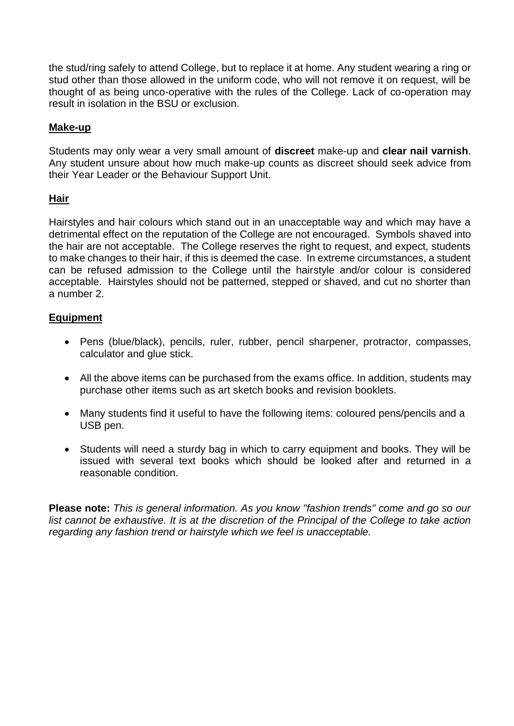the stud/ring safely to attend College, but to replace it at home. Any student wearing a ring or stud other than those allowed in the uniform code, who will not remove it on request, will be thought of as being unco-operative with the rules of the College. Lack of co-operation may result in isolation in the BSU or exclusion.

# **Make-up**

Students may only wear a very small amount of **discreet** make-up and **clear nail varnish**. Any student unsure about how much make-up counts as discreet should seek advice from their Year Leader or the Behaviour Support Unit.

## **Hair**

Hairstyles and hair colours which stand out in an unacceptable way and which may have a detrimental effect on the reputation of the College are not encouraged. Symbols shaved into the hair are not acceptable. The College reserves the right to request, and expect, students to make changes to their hair, if this is deemed the case. In extreme circumstances, a student can be refused admission to the College until the hairstyle and/or colour is considered acceptable. Hairstyles should not be patterned, stepped or shaved, and cut no shorter than a number 2.

## **Equipment**

- Pens (blue/black), pencils, ruler, rubber, pencil sharpener, protractor, compasses, calculator and glue stick.
- All the above items can be purchased from the exams office. In addition, students may purchase other items such as art sketch books and revision booklets.
- Many students find it useful to have the following items: coloured pens/pencils and a USB pen.
- Students will need a sturdy bag in which to carry equipment and books. They will be issued with several text books which should be looked after and returned in a reasonable condition.

**Please note:** *This is general information. As you know "fashion trends" come and go so our*  list cannot be exhaustive. It is at the discretion of the Principal of the College to take action *regarding any fashion trend or hairstyle which we feel is unacceptable.*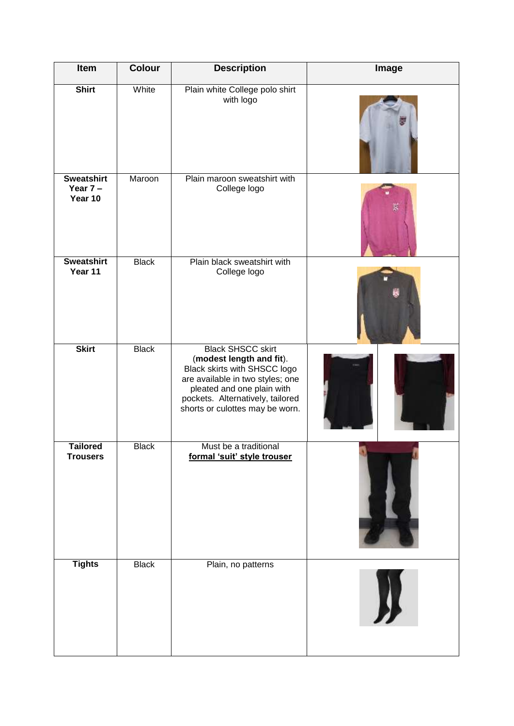| Item                                       | <b>Colour</b> | <b>Description</b>                                                                                                                                                                                                            | Image |
|--------------------------------------------|---------------|-------------------------------------------------------------------------------------------------------------------------------------------------------------------------------------------------------------------------------|-------|
| <b>Shirt</b>                               | White         | Plain white College polo shirt<br>with logo                                                                                                                                                                                   |       |
| <b>Sweatshirt</b><br>Year $7 -$<br>Year 10 | Maroon        | Plain maroon sweatshirt with<br>College logo                                                                                                                                                                                  |       |
| <b>Sweatshirt</b><br>Year 11               | <b>Black</b>  | Plain black sweatshirt with<br>College logo                                                                                                                                                                                   |       |
| <b>Skirt</b>                               | <b>Black</b>  | <b>Black SHSCC skirt</b><br>(modest length and fit).<br>Black skirts with SHSCC logo<br>are available in two styles; one<br>pleated and one plain with<br>pockets. Alternatively, tailored<br>shorts or culottes may be worn. |       |
| <b>Tailored</b><br><b>Trousers</b>         | <b>Black</b>  | Must be a traditional<br>formal 'suit' style trouser                                                                                                                                                                          |       |
| <b>Tights</b>                              | <b>Black</b>  | Plain, no patterns                                                                                                                                                                                                            |       |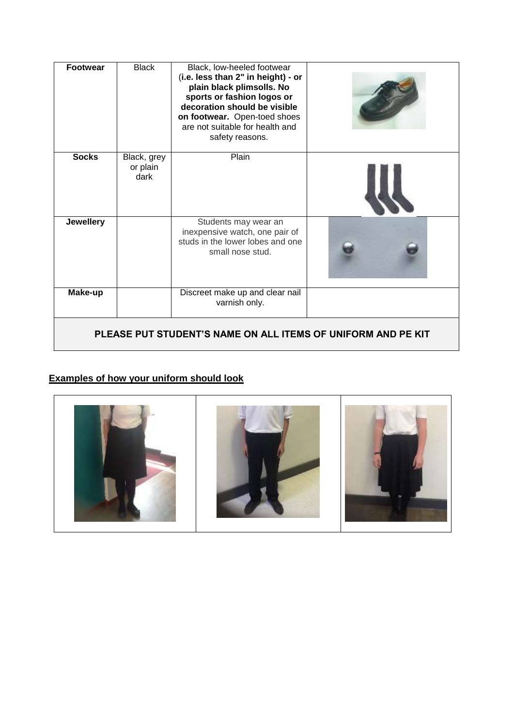| <b>Footwear</b>                                              | <b>Black</b>                    | Black, low-heeled footwear<br>(i.e. less than 2" in height) - or<br>plain black plimsolls. No<br>sports or fashion logos or<br>decoration should be visible<br>on footwear. Open-toed shoes<br>are not suitable for health and<br>safety reasons. |  |  |
|--------------------------------------------------------------|---------------------------------|---------------------------------------------------------------------------------------------------------------------------------------------------------------------------------------------------------------------------------------------------|--|--|
| <b>Socks</b>                                                 | Black, grey<br>or plain<br>dark | Plain                                                                                                                                                                                                                                             |  |  |
| Jewellery                                                    |                                 | Students may wear an<br>inexpensive watch, one pair of<br>studs in the lower lobes and one<br>small nose stud.                                                                                                                                    |  |  |
| Make-up                                                      |                                 | Discreet make up and clear nail<br>varnish only.                                                                                                                                                                                                  |  |  |
| PLEASE PUT STUDENT'S NAME ON ALL ITEMS OF UNIFORM AND PE KIT |                                 |                                                                                                                                                                                                                                                   |  |  |

# **Examples of how your uniform should look**

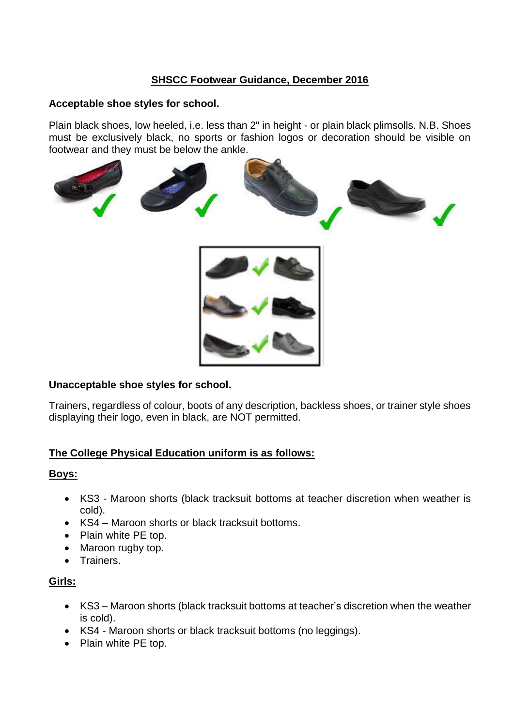# **SHSCC Footwear Guidance, December 2016**

#### **Acceptable shoe styles for school.**

Plain black shoes, low heeled, i.e. less than 2" in height - or plain black plimsolls. N.B. Shoes must be exclusively black, no sports or fashion logos or decoration should be visible on footwear and they must be below the ankle.





## **Unacceptable shoe styles for school.**

Trainers, regardless of colour, boots of any description, backless shoes, or trainer style shoes displaying their logo, even in black, are NOT permitted.

## **The College Physical Education uniform is as follows:**

## **Boys:**

- KS3 Maroon shorts (black tracksuit bottoms at teacher discretion when weather is cold).
- KS4 Maroon shorts or black tracksuit bottoms.
- Plain white PE top.
- Maroon rugby top.
- Trainers.

# **Girls:**

- KS3 Maroon shorts (black tracksuit bottoms at teacher's discretion when the weather is cold).
- KS4 Maroon shorts or black tracksuit bottoms (no leggings).
- Plain white PE top.